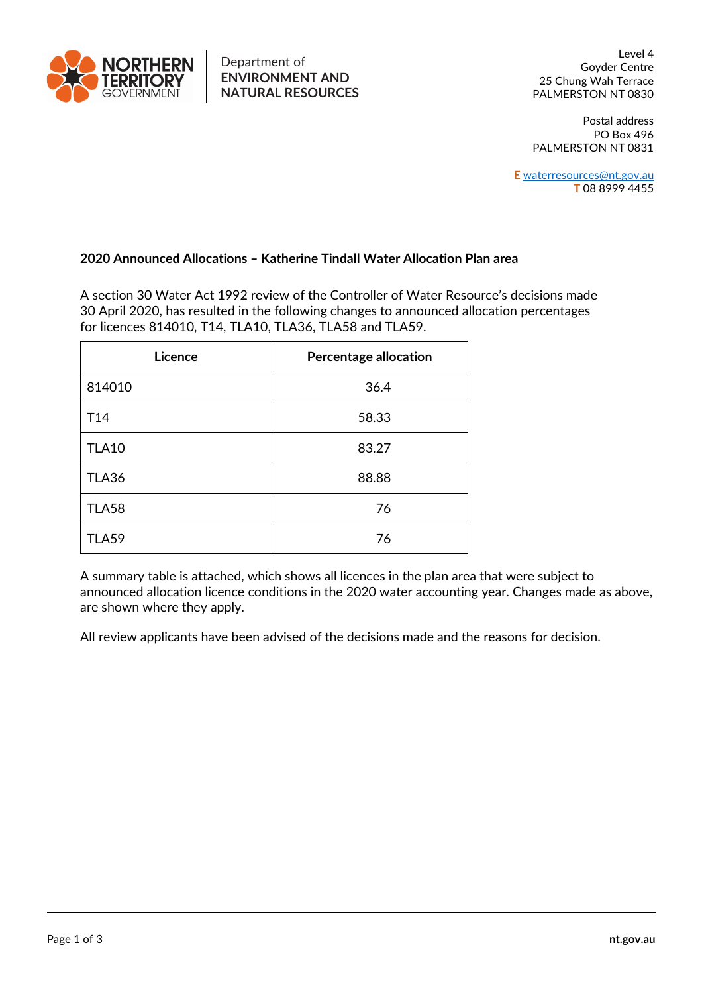

25 Chung Wah Terrace PALMERSTON NT 0830 Level 4<br>
Level 4 Goyder Centre<br> **ENVIRONMENT AND** 25 Chung Wah Terrace

> PO Box 496 PALMERSTON NT 0831 Postal address

 **T** 08 8999 4455 **E** waterresources@nt.gov.au

## **2020 Announced Allocations – Katherine Tindall Water Allocation Plan area**

 A section 30 Water Act 1992 review of the Controller of Water Resource's decisions made 30 April 2020, has resulted in the following changes to announced allocation percentages for licences 814010, T14, TLA10, TLA36, TLA58 and TLA59.

| Licence         | <b>Percentage allocation</b> |  |  |
|-----------------|------------------------------|--|--|
| 814010          | 36.4                         |  |  |
| T <sub>14</sub> | 58.33                        |  |  |
| <b>TLA10</b>    | 83.27                        |  |  |
| <b>TLA36</b>    | 88.88                        |  |  |
| <b>TLA58</b>    | 76                           |  |  |
| <b>TLA59</b>    | 76                           |  |  |

 A summary table is attached, which shows all licences in the plan area that were subject to announced allocation licence conditions in the 2020 water accounting year. Changes made as above, are shown where they apply.

All review applicants have been advised of the decisions made and the reasons for decision.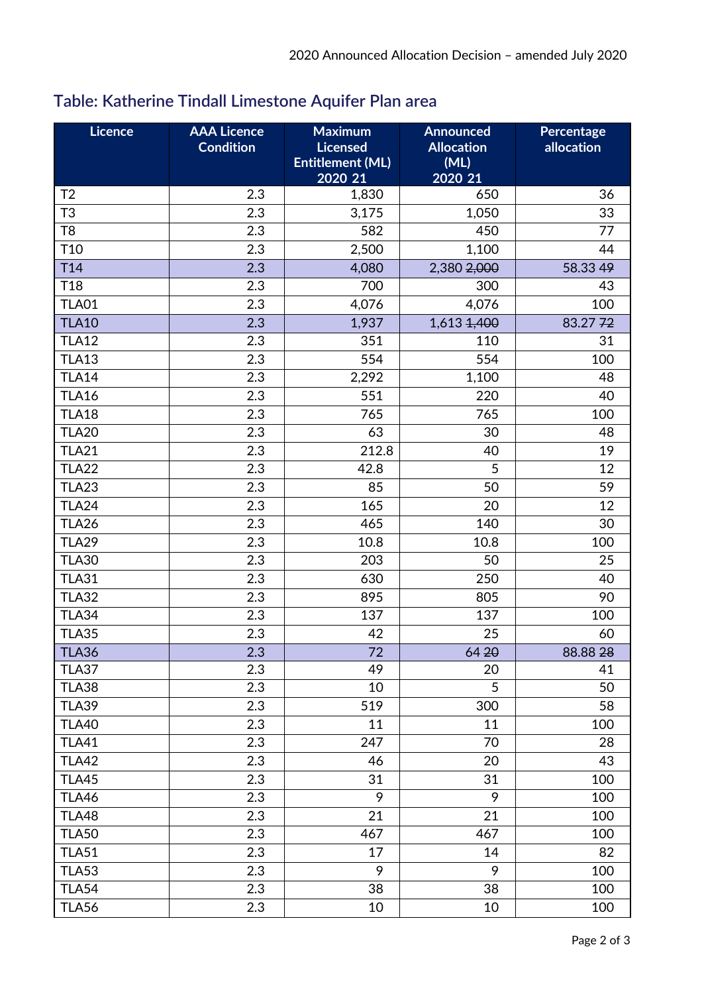## **Table: Katherine Tindall Limestone Aquifer Plan area**

| Licence         | <b>AAA Licence</b><br><b>Condition</b> | <b>Maximum</b><br><b>Licensed</b>  | <b>Announced</b><br><b>Allocation</b> | Percentage<br>allocation |
|-----------------|----------------------------------------|------------------------------------|---------------------------------------|--------------------------|
|                 |                                        | <b>Entitlement (ML)</b><br>2020 21 | (ML)<br>2020 21                       |                          |
| T <sub>2</sub>  | 2.3                                    | 1,830                              | 650                                   | 36                       |
| T <sub>3</sub>  | 2.3                                    | 3,175                              | 1,050                                 | 33                       |
| T <sub>8</sub>  | 2.3                                    | 582                                | 450                                   | 77                       |
| T <sub>10</sub> | 2.3                                    | 2,500                              | 1,100                                 | 44                       |
| T <sub>14</sub> | 2.3                                    | 4,080                              | 2,380 2,000                           | 58.33 49                 |
| T <sub>18</sub> | 2.3                                    | 700                                | 300                                   | 43                       |
| <b>TLA01</b>    | 2.3                                    | 4,076                              | 4,076                                 | 100                      |
| <b>TLA10</b>    | 2.3                                    | 1,937                              | 1,613 1,400                           | 83.2772                  |
| <b>TLA12</b>    | 2.3                                    | 351                                | 110                                   | 31                       |
| <b>TLA13</b>    | 2.3                                    | 554                                | 554                                   | 100                      |
| <b>TLA14</b>    | 2.3                                    | 2,292                              | 1,100                                 | 48                       |
| <b>TLA16</b>    | 2.3                                    | 551                                | 220                                   | 40                       |
| <b>TLA18</b>    | 2.3                                    | 765                                | 765                                   | 100                      |
| <b>TLA20</b>    | 2.3                                    | 63                                 | 30                                    | 48                       |
| TLA21           | 2.3                                    | 212.8                              | 40                                    | 19                       |
| <b>TLA22</b>    | 2.3                                    | 42.8                               | 5                                     | 12                       |
| <b>TLA23</b>    | 2.3                                    | 85                                 | 50                                    | 59                       |
| <b>TLA24</b>    | 2.3                                    | 165                                | 20                                    | 12                       |
| <b>TLA26</b>    | 2.3                                    | 465                                | 140                                   | 30                       |
| <b>TLA29</b>    | 2.3                                    | 10.8                               | 10.8                                  | 100                      |
| <b>TLA30</b>    | 2.3                                    | 203                                | 50                                    | 25                       |
| <b>TLA31</b>    | 2.3                                    | 630                                | 250                                   | 40                       |
| <b>TLA32</b>    | 2.3                                    | 895                                | 805                                   | 90                       |
| <b>TLA34</b>    | 2.3                                    | 137                                | 137                                   | 100                      |
| <b>TLA35</b>    | 2.3                                    | 42                                 | 25                                    | 60                       |
| TLA36           | 2.3                                    | $\overline{72}$                    | 6420                                  | 88.8828                  |
| <b>TLA37</b>    | 2.3                                    | 49                                 | 20                                    | 41                       |
| <b>TLA38</b>    | 2.3                                    | 10                                 | 5                                     | 50                       |
| <b>TLA39</b>    | 2.3                                    | 519                                | 300                                   | 58                       |
| <b>TLA40</b>    | 2.3                                    | 11                                 | 11                                    | 100                      |
| <b>TLA41</b>    | 2.3                                    | 247                                | 70                                    | 28                       |
| <b>TLA42</b>    | 2.3                                    | 46                                 | 20                                    | 43                       |
| <b>TLA45</b>    | 2.3                                    | 31                                 | 31                                    | 100                      |
| <b>TLA46</b>    | 2.3                                    | 9                                  | 9                                     | 100                      |
| <b>TLA48</b>    | 2.3                                    | 21                                 | 21                                    | 100                      |
| <b>TLA50</b>    | 2.3                                    | 467                                | 467                                   | 100                      |
| <b>TLA51</b>    | 2.3                                    | 17                                 | 14                                    | 82                       |
| <b>TLA53</b>    | 2.3                                    | 9                                  | 9                                     | 100                      |
| <b>TLA54</b>    | 2.3                                    | 38                                 | 38                                    | 100                      |
| <b>TLA56</b>    | 2.3                                    | 10                                 | 10                                    | 100                      |